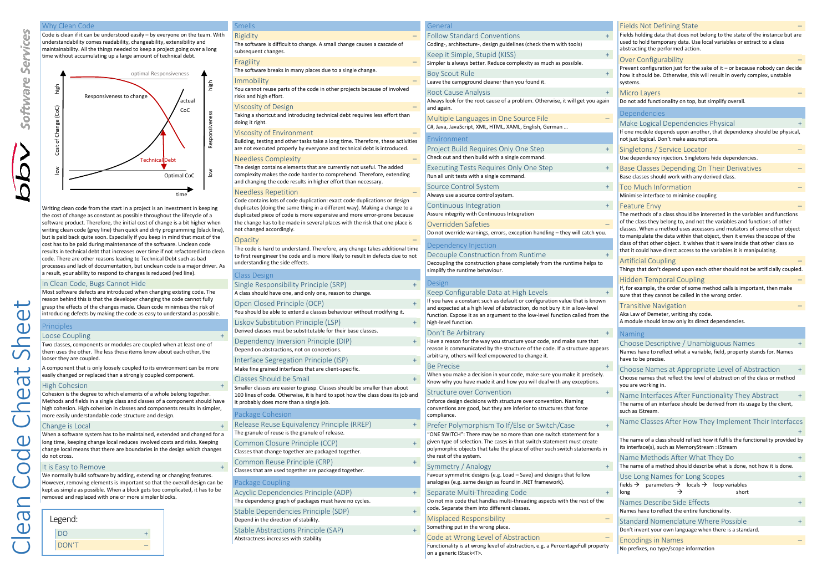#### Why Clean Code

Code is clean if it can be understood easily – by everyone on the team. With understandability comes readability, changeability, extensibility and maintainability. All the things needed to keep a project going over a long time without accumulating up a large amount of technical debt.



Writing clean code from the start in a project is an investment in keeping the cost of change as constant as possible throughout the lifecycle of a software product. Therefore, the initial cost of change is a bit higher when writing clean code (grey line) than quick and dirty programming (black line). but is paid back quite soon. Especially if you keep in mind that most of the cost has to be paid during maintenance of the software. Unclean code results in technical debt that increases over time if not refactored into clean code. There are other reasons leading to Technical Debt such as bad processes and lack of documentation, but unclean code is a major driver. As a result, your ability to respond to changes is reduced (red line).

# In Clean Code, Bugs Cannot Hide

Most software defects are introduced when changing existing code. The reason behind this is that the developer changing the code cannot fully grasp the effects of the changes made. Clean code minimises the risk of introducing defects by making the code as easy to understand as possible.

# Principles Loose Coupling

์ตว  $\mathbf{C}$ 

 $\sigma$  $\bigcap$  $\sqrt{2}$ 

 $\bigcap$ 

 $\overline{\mathbf{C}}$ 

Two classes, components or modules are coupled when at least one of them uses the other. The less these items know about each other, the looser they are coupled.

A component that is only loosely coupled to its environment can be more easily changed or replaced than a strongly coupled component.

### High Cohesion +

Cohesion is the degree to which elements of a whole belong together. Methods and fields in a single class and classes of a component should have high cohesion. High cohesion in classes and components results in simpler, more easily understandable code structure and design.

# Change is Local +

When a software system has to be maintained, extended and changed for a long time, keeping change local reduces involved costs and risks. Keeping change local means that there are boundaries in the design which changes do not cross.

# It is Easy to Remove

We normally build software by adding, extending or changing features. However, removing elements is important so that the overall design can be kept as simple as possible. When a block gets too complicated, it has to be removed and replaced with one or more simpler blocks.



| <u>Smells</u>                                                                                                                                                                                                   | General                                                                   |  |
|-----------------------------------------------------------------------------------------------------------------------------------------------------------------------------------------------------------------|---------------------------------------------------------------------------|--|
| Rigidity                                                                                                                                                                                                        | Follow Standard Conventi                                                  |  |
| The software is difficult to change. A small change causes a cascade of<br>subsequent changes.                                                                                                                  | Coding-, architecture-, design guid                                       |  |
| Fragility                                                                                                                                                                                                       | Keep it Simple, Stupid (KIS<br>Simpler is always better. Reduce c         |  |
| The software breaks in many places due to a single change.                                                                                                                                                      | <b>Boy Scout Rule</b>                                                     |  |
| Immobility<br>You cannot reuse parts of the code in other projects because of involved                                                                                                                          | Leave the campground cleaner tha                                          |  |
| risks and high effort.                                                                                                                                                                                          | Root Cause Analysis<br>Always look for the root cause of a                |  |
| Viscosity of Design                                                                                                                                                                                             | and again.                                                                |  |
| Taking a shortcut and introducing technical debt requires less effort than<br>doing it right.                                                                                                                   | Multiple Languages in One<br>C#, Java, JavaScript, XML, HTML, X           |  |
| Viscosity of Environment                                                                                                                                                                                        |                                                                           |  |
| Building, testing and other tasks take a long time. Therefore, these activities<br>are not executed properly by everyone and technical debt is introduced.                                                      | Environment<br>Project Build Requires Onl                                 |  |
| Needless Complexity                                                                                                                                                                                             | Check out and then build with a sir                                       |  |
| The design contains elements that are currently not useful. The added<br>complexity makes the code harder to comprehend. Therefore, extending<br>and changing the code results in higher effort than necessary. | Executing Tests Requires (<br>Run all unit tests with a single com        |  |
| Needless Repetition                                                                                                                                                                                             | Source Control System                                                     |  |
| Code contains lots of code duplication: exact code duplications or design                                                                                                                                       | Always use a source control syster                                        |  |
| duplicates (doing the same thing in a different way). Making a change to a<br>duplicated piece of code is more expensive and more error-prone because                                                           | Continuous Integration<br>Assure integrity with Continuous Ir             |  |
| the change has to be made in several places with the risk that one place is<br>not changed accordingly.                                                                                                         | Overridden Safeties<br>Do not override warnings, errors, o                |  |
| Opacity                                                                                                                                                                                                         |                                                                           |  |
| The code is hard to understand. Therefore, any change takes additional time<br>to first reengineer the code and is more likely to result in defects due to not                                                  | Dependency Injection<br>Decouple Construction fro                         |  |
| understanding the side effects.                                                                                                                                                                                 | Decoupling the construction phase<br>simplify the runtime behaviour.      |  |
| Class Design                                                                                                                                                                                                    |                                                                           |  |
| Single Responsibility Principle (SRP)                                                                                                                                                                           | Design                                                                    |  |
| A class should have one, and only one, reason to change.                                                                                                                                                        | Keep Configurable Data at<br>If you have a constant such as defa          |  |
| Open Closed Principle (OCP)<br>$+$<br>You should be able to extend a classes behaviour without modifying it.                                                                                                    | and expected at a high level of abs<br>function. Expose it as an argument |  |
| Liskov Substitution Principle (LSP)<br>$+$                                                                                                                                                                      | high-level function.                                                      |  |
| Derived classes must be substitutable for their base classes.                                                                                                                                                   | Don't Be Arbitrary                                                        |  |
| Dependency Inversion Principle (DIP)<br>$+$                                                                                                                                                                     | Have a reason for the way you stru                                        |  |
| Depend on abstractions, not on concretions.                                                                                                                                                                     | reason is communicated by the str                                         |  |
| Interface Segregation Principle (ISP)<br>$^{+}$                                                                                                                                                                 | arbitrary, others will feel empowe                                        |  |
| Make fine grained interfaces that are client-specific.                                                                                                                                                          | <b>Be Precise</b>                                                         |  |
| Classes Should be Small<br>$+$                                                                                                                                                                                  | When you make a decision in your<br>Know why you have made it and h       |  |
| Smaller classes are easier to grasp. Classes should be smaller than about                                                                                                                                       | <b>Structure over Conventior</b>                                          |  |
| 100 lines of code. Otherwise, it is hard to spot how the class does its job and<br>it probably does more than a single job.                                                                                     | Enforce design decisions with stru                                        |  |
| Package Cohesion                                                                                                                                                                                                | conventions are good, but they are<br>compliance.                         |  |
| Release Reuse Equivalency Principle (RREP)<br>$^{+}$                                                                                                                                                            | Prefer Polymorphism To If                                                 |  |
| The granule of reuse is the granule of release.                                                                                                                                                                 | "ONE SWITCH": There may be no r                                           |  |
| Common Closure Principle (CCP)<br>$+$                                                                                                                                                                           | given type of selection. The cases                                        |  |
| Classes that change together are packaged together.                                                                                                                                                             | polymorphic objects that take the<br>the rest of the system.              |  |
| Common Reuse Principle (CRP)<br>$+$                                                                                                                                                                             | Symmetry / Analogy                                                        |  |
| Classes that are used together are packaged together.                                                                                                                                                           | Favour symmetric designs (e.g. Loa                                        |  |
| Package Coupling                                                                                                                                                                                                | analogies (e.g. same design as four                                       |  |
| Acyclic Dependencies Principle (ADP)<br>$+$                                                                                                                                                                     | Separate Multi-Threading                                                  |  |
| The dependency graph of packages must have no cycles.                                                                                                                                                           | Do not mix code that handles mult                                         |  |
| Stable Dependencies Principle (SDP)<br>$+$                                                                                                                                                                      | code. Separate them into different                                        |  |
| Depend in the direction of stability.                                                                                                                                                                           | Misplaced Responsibility                                                  |  |
| Stable Abstractions Principle (SAP)<br>$+$                                                                                                                                                                      | Something put in the wrong place.                                         |  |
| Abstractness increases with stability                                                                                                                                                                           | Code at Wrong Level of Al                                                 |  |

on a generic IStack<T>.

| General                                                                                                                                                    | <b>Fields Not Defining State</b>                                                                                                                                                             |
|------------------------------------------------------------------------------------------------------------------------------------------------------------|----------------------------------------------------------------------------------------------------------------------------------------------------------------------------------------------|
| <b>Follow Standard Conventions</b><br>$^{+}$<br>Coding-, architecture-, design guidelines (check them with tools)                                          | Fields holding data that does not belong to the state of the instance but are<br>used to hold temporary data. Use local variables or extract to a class<br>abstracting the performed action. |
| $+$<br>Keep it Simple, Stupid (KISS)                                                                                                                       |                                                                                                                                                                                              |
| Simpler is always better. Reduce complexity as much as possible.                                                                                           | <b>Over Configurability</b><br>Prevent configuration just for the sake of it - or because nobody can decide                                                                                  |
| <b>Boy Scout Rule</b><br>$+$<br>Leave the campground cleaner than you found it.                                                                            | how it should be. Otherwise, this will result in overly complex, unstable<br>systems.                                                                                                        |
| $+$<br>Root Cause Analysis                                                                                                                                 | Micro Layers                                                                                                                                                                                 |
| Always look for the root cause of a problem. Otherwise, it will get you again                                                                              | Do not add functionality on top, but simplify overall.                                                                                                                                       |
| and again.                                                                                                                                                 | Dependencies                                                                                                                                                                                 |
| Multiple Languages in One Source File                                                                                                                      | Make Logical Dependencies Physical                                                                                                                                                           |
| C#, Java, JavaScript, XML, HTML, XAML, English, German                                                                                                     | If one module depends upon another, that dependency should be physical,                                                                                                                      |
| Environment                                                                                                                                                | not just logical. Don't make assumptions.                                                                                                                                                    |
| Project Build Requires Only One Step<br>$+$                                                                                                                | Singletons / Service Locator                                                                                                                                                                 |
| Check out and then build with a single command.                                                                                                            | Use dependency injection. Singletons hide dependencies.                                                                                                                                      |
| $+$<br>Executing Tests Requires Only One Step<br>Run all unit tests with a single command.                                                                 | Base Classes Depending On Their Derivatives<br>Base classes should work with any derived class.                                                                                              |
| Source Control System<br>$+$                                                                                                                               | Too Much Information                                                                                                                                                                         |
| Always use a source control system.                                                                                                                        | Minimise interface to minimise coupling                                                                                                                                                      |
| $+$<br>Continuous Integration                                                                                                                              | <b>Feature Envy</b>                                                                                                                                                                          |
| Assure integrity with Continuous Integration                                                                                                               | The methods of a class should be interested in the variables and functions                                                                                                                   |
| Overridden Safeties                                                                                                                                        | of the class they belong to, and not the variables and functions of other                                                                                                                    |
| Do not override warnings, errors, exception handling - they will catch you.                                                                                | classes. When a method uses accessors and mutators of some other object<br>to manipulate the data within that object, then it envies the scope of the                                        |
| Dependency Injection                                                                                                                                       | class of that other object. It wishes that it were inside that other class so                                                                                                                |
| Decouple Construction from Runtime<br>$+$                                                                                                                  | that it could have direct access to the variables it is manipulating.                                                                                                                        |
| Decoupling the construction phase completely from the runtime helps to                                                                                     | <b>Artificial Coupling</b>                                                                                                                                                                   |
| simplify the runtime behaviour.                                                                                                                            | Things that don't depend upon each other should not be artificially coupled.                                                                                                                 |
| Design                                                                                                                                                     | Hidden Temporal Coupling                                                                                                                                                                     |
| Keep Configurable Data at High Levels<br>$^{+}$                                                                                                            | If, for example, the order of some method calls is important, then make<br>sure that they cannot be called in the wrong order.                                                               |
| If you have a constant such as default or configuration value that is known                                                                                |                                                                                                                                                                                              |
| and expected at a high level of abstraction, do not bury it in a low-level<br>function. Expose it as an argument to the low-level function called from the | Transitive Navigation<br>Aka Law of Demeter, writing shy code.                                                                                                                               |
| high-level function.                                                                                                                                       | A module should know only its direct dependencies.                                                                                                                                           |
| $+$<br>Don't Be Arbitrary                                                                                                                                  | <b>Naming</b>                                                                                                                                                                                |
| Have a reason for the way you structure your code, and make sure that                                                                                      | Choose Descriptive / Unambiguous Names<br>$^{+}$                                                                                                                                             |
| reason is communicated by the structure of the code. If a structure appears                                                                                | Names have to reflect what a variable, field, property stands for. Names                                                                                                                     |
| arbitrary, others will feel empowered to change it.                                                                                                        | have to be precise.                                                                                                                                                                          |
| <b>Be Precise</b><br>$+$                                                                                                                                   | Choose Names at Appropriate Level of Abstraction<br>$^{+}$                                                                                                                                   |
| When you make a decision in your code, make sure you make it precisely.<br>Know why you have made it and how you will deal with any exceptions.            | Choose names that reflect the level of abstraction of the class or method                                                                                                                    |
| <b>Structure over Convention</b><br>$+$                                                                                                                    | you are working in.                                                                                                                                                                          |
| Enforce design decisions with structure over convention. Naming                                                                                            | Name Interfaces After Functionality They Abstract                                                                                                                                            |
| conventions are good, but they are inferior to structures that force<br>compliance.                                                                        | The name of an interface should be derived from its usage by the client,<br>such as IStream.                                                                                                 |
| Prefer Polymorphism To If/Else or Switch/Case<br>$+$                                                                                                       | Name Classes After How They Implement Their Interfaces                                                                                                                                       |
| "ONE SWITCH": There may be no more than one switch statement for a                                                                                         |                                                                                                                                                                                              |
| given type of selection. The cases in that switch statement must create                                                                                    | The name of a class should reflect how it fulfils the functionality provided by                                                                                                              |
| polymorphic objects that take the place of other such switch statements in<br>the rest of the system.                                                      | its interface(s), such as MemoryStream : IStream                                                                                                                                             |
|                                                                                                                                                            | Name Methods After What They Do<br>The name of a method should describe what is done, not how it is done.                                                                                    |
| Symmetry / Analogy<br>Favour symmetric designs (e.g. Load - Save) and designs that follow                                                                  |                                                                                                                                                                                              |
| analogies (e.g. same design as found in .NET framework).                                                                                                   | Use Long Names for Long Scopes<br>$^{+}$<br>fields $\rightarrow$ parameters $\rightarrow$ locals $\rightarrow$ loop variables                                                                |
| $+$<br>Separate Multi-Threading Code                                                                                                                       | →<br>short<br>long                                                                                                                                                                           |
| Do not mix code that handles multi-threading aspects with the rest of the                                                                                  | Names Describe Side Effects<br>$\ddot{}$                                                                                                                                                     |
| code. Separate them into different classes.                                                                                                                | Names have to reflect the entire functionality.                                                                                                                                              |
| <b>Misplaced Responsibility</b><br>Ξ.                                                                                                                      | Standard Nomenclature Where Possible<br>$\ddot{}$                                                                                                                                            |
| Something put in the wrong place.                                                                                                                          | Don't invent your own language when there is a standard.                                                                                                                                     |
| Code at Wrong Level of Abstraction                                                                                                                         | <b>Encodings in Names</b>                                                                                                                                                                    |

Functionality is at wrong level of abstraction, e.g. a PercentageFull property No prefixes, no type/scope information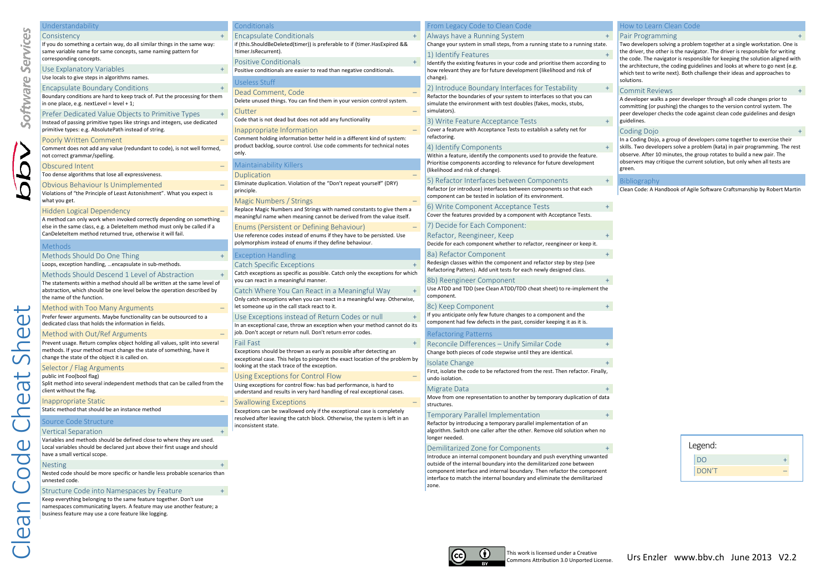|             | Understandability                                                                                                                                                     | conditionals:                                                                                                                                        | From Legacy Code to Clean Code                                                                                                                                                    | How to Learn Clean Code                                                                                                                                                                                                                    |
|-------------|-----------------------------------------------------------------------------------------------------------------------------------------------------------------------|------------------------------------------------------------------------------------------------------------------------------------------------------|-----------------------------------------------------------------------------------------------------------------------------------------------------------------------------------|--------------------------------------------------------------------------------------------------------------------------------------------------------------------------------------------------------------------------------------------|
|             | Consistency                                                                                                                                                           | <b>Encapsulate Conditionals</b>                                                                                                                      | Always have a Running System                                                                                                                                                      | Pair Programming                                                                                                                                                                                                                           |
| ervice      | If you do something a certain way, do all similar things in the same way:<br>same variable name for same concepts, same naming pattern for<br>corresponding concepts. | if (this.ShouldBeDeleted(timer)) is preferable to if (timer.HasExpired &&<br>!timer.IsRecurrent).                                                    | Change your system in small steps, from a running state to a running state.<br>1) Identify Features                                                                               | Two developers solving a problem together at a single workstation. One is<br>the driver, the other is the navigator. The driver is responsible for writing<br>the code. The navigator is responsible for keeping the solution aligned with |
| Uñ,         | Use Explanatory Variables                                                                                                                                             | <b>Positive Conditionals</b><br>Positive conditionals are easier to read than negative conditionals.                                                 | Identify the existing features in your code and prioritise them according to<br>how relevant they are for future development (likelihood and risk of                              | the architecture, the coding guidelines and looks at where to go next (e.g.<br>which test to write next). Both challenge their ideas and approaches to                                                                                     |
|             | Use locals to give steps in algorithms names.<br><b>Encapsulate Boundary Conditions</b>                                                                               | Useless Stuff                                                                                                                                        | change).<br>2) Introduce Boundary Interfaces for Testability                                                                                                                      | solutions.                                                                                                                                                                                                                                 |
| oftware     | Boundary conditions are hard to keep track of. Put the processing for them<br>in one place, e.g. nextLevel = level + 1;                                               | Dead Comment, Code<br>Delete unused things. You can find them in your version control system.                                                        | Refactor the boundaries of your system to interfaces so that you can<br>simulate the environment with test doubles (fakes, mocks, stubs,                                          | Commit Reviews<br>A developer walks a peer developer through all code changes prior to<br>committing (or pushing) the changes to the version control system. The                                                                           |
|             | Prefer Dedicated Value Objects to Primitive Types<br>Instead of passing primitive types like strings and integers, use dedicated                                      | Clutter<br>Code that is not dead but does not add any functionality                                                                                  | simulators).<br>3) Write Feature Acceptance Tests                                                                                                                                 | peer developer checks the code against clean code guidelines and design<br>guidelines.                                                                                                                                                     |
|             | primitive types: e.g. AbsolutePath instead of string.                                                                                                                 | Inappropriate Information<br>Comment holding information better held in a different kind of system:                                                  | Cover a feature with Acceptance Tests to establish a safety net for<br>refactoring.                                                                                               | Coding Dojo                                                                                                                                                                                                                                |
|             | Poorly Written Comment<br>Comment does not add any value (redundant to code), is not well formed,                                                                     | product backlog, source control. Use code comments for technical notes<br>only.                                                                      | 4) Identify Components                                                                                                                                                            | In a Coding Dojo, a group of developers come together to exercise their<br>skills. Two developers solve a problem (kata) in pair programming. The rest<br>observe. After 10 minutes, the group rotates to build a new pair. The            |
|             | not correct grammar/spelling.<br>Obscured Intent                                                                                                                      | Maintainability Killers                                                                                                                              | Within a feature, identify the components used to provide the feature.<br>Prioritise components according to relevance for future development<br>(likelihood and risk of change). | observers may critique the current solution, but only when all tests are<br>green.                                                                                                                                                         |
|             | Too dense algorithms that lose all expressiveness.                                                                                                                    | Duplication                                                                                                                                          |                                                                                                                                                                                   |                                                                                                                                                                                                                                            |
|             | Obvious Behaviour Is Unimplemented<br>Violations of "the Principle of Least Astonishment". What you expect is                                                         | Eliminate duplication. Violation of the "Don't repeat yourself" (DRY)<br>principle.                                                                  | 5) Refactor Interfaces between Components<br>Refactor (or introduce) interfaces between components so that each<br>component can be tested in isolation of its environment.       | <b>Bibliography</b><br>Clean Code: A Handbook of Agile Software Craftsmanship by Robert Martin                                                                                                                                             |
|             | what you get.                                                                                                                                                         | Magic Numbers / Strings                                                                                                                              | 6) Write Component Acceptance Tests                                                                                                                                               |                                                                                                                                                                                                                                            |
|             | Hidden Logical Dependency                                                                                                                                             | Replace Magic Numbers and Strings with named constants to give them a<br>meaningful name when meaning cannot be derived from the value itself.       | Cover the features provided by a component with Acceptance Tests.                                                                                                                 |                                                                                                                                                                                                                                            |
|             | A method can only work when invoked correctly depending on something<br>else in the same class, e.g. a Deleteltem method must only be called if a                     | Enums (Persistent or Defining Behaviour)                                                                                                             | 7) Decide for Each Component:                                                                                                                                                     |                                                                                                                                                                                                                                            |
|             | CanDeleteItem method returned true, otherwise it will fail.<br><b>Methods</b>                                                                                         | Use reference codes instead of enums if they have to be persisted. Use<br>polymorphism instead of enums if they define behaviour.                    | Refactor, Reengineer, Keep<br>Decide for each component whether to refactor, reengineer or keep it.                                                                               |                                                                                                                                                                                                                                            |
|             | Methods Should Do One Thing                                                                                                                                           | <b>Exception Handling</b>                                                                                                                            | 8a) Refactor Component                                                                                                                                                            |                                                                                                                                                                                                                                            |
|             | Loops, exception handling,  encapsulate in sub-methods.                                                                                                               | <b>Catch Specific Exceptions</b>                                                                                                                     | Redesign classes within the component and refactor step by step (see                                                                                                              |                                                                                                                                                                                                                                            |
|             | Methods Should Descend 1 Level of Abstraction                                                                                                                         | Catch exceptions as specific as possible. Catch only the exceptions for which                                                                        | Refactoring Patters). Add unit tests for each newly designed class.                                                                                                               |                                                                                                                                                                                                                                            |
|             | The statements within a method should all be written at the same level of                                                                                             | you can react in a meaningful manner.                                                                                                                | 8b) Reengineer Component                                                                                                                                                          |                                                                                                                                                                                                                                            |
|             | abstraction, which should be one level below the operation described by<br>the name of the function.                                                                  | Catch Where You Can React in a Meaningful Way<br>Only catch exceptions when you can react in a meaningful way. Otherwise,                            | Use ATDD and TDD (see Clean ATDD/TDD cheat sheet) to re-implement the<br>component.                                                                                               |                                                                                                                                                                                                                                            |
|             | Method with Too Many Arguments                                                                                                                                        | let someone up in the call stack react to it.                                                                                                        | 8c) Keep Component                                                                                                                                                                |                                                                                                                                                                                                                                            |
| $\mathbf 0$ | Prefer fewer arguments. Maybe functionality can be outsourced to a<br>dedicated class that holds the information in fields.                                           | Use Exceptions instead of Return Codes or null<br>In an exceptional case, throw an exception when your method cannot do its                          | If you anticipate only few future changes to a component and the<br>component had few defects in the past, consider keeping it as it is.                                          |                                                                                                                                                                                                                                            |
| $\mathbf 0$ | Method with Out/Ref Arguments                                                                                                                                         | job. Don't accept or return null. Don't return error codes.                                                                                          | <b>Refactoring Patterns</b>                                                                                                                                                       |                                                                                                                                                                                                                                            |
|             | Prevent usage. Return complex object holding all values, split into several<br>methods. If your method must change the state of something, have it                    | <b>Fail Fast</b>                                                                                                                                     | Reconcile Differences - Unify Similar Code                                                                                                                                        |                                                                                                                                                                                                                                            |
|             | change the state of the object it is called on.                                                                                                                       | Exceptions should be thrown as early as possible after detecting an<br>exceptional case. This helps to pinpoint the exact location of the problem by | Change both pieces of code stepwise until they are identical.                                                                                                                     |                                                                                                                                                                                                                                            |
|             | Selector / Flag Arguments                                                                                                                                             | looking at the stack trace of the exception.                                                                                                         | Isolate Change                                                                                                                                                                    |                                                                                                                                                                                                                                            |
|             | public int Foo(bool flag)                                                                                                                                             | Using Exceptions for Control Flow                                                                                                                    | First, isolate the code to be refactored from the rest. Then refactor. Finally,<br>undo isolation.                                                                                |                                                                                                                                                                                                                                            |
| $\sigma$    | Split method into several independent methods that can be called from the<br>client without the flag.                                                                 | Using exceptions for control flow: has bad performance, is hard to<br>understand and results in very hard handling of real exceptional cases.        | Migrate Data                                                                                                                                                                      |                                                                                                                                                                                                                                            |
| $\mathbf 0$ | Inappropriate Static                                                                                                                                                  | <b>Swallowing Exceptions</b>                                                                                                                         | Move from one representation to another by temporary duplication of data<br>structures.                                                                                           |                                                                                                                                                                                                                                            |
|             | Static method that should be an instance method                                                                                                                       | Exceptions can be swallowed only if the exceptional case is completely                                                                               |                                                                                                                                                                                   |                                                                                                                                                                                                                                            |
|             | Source Code Structure                                                                                                                                                 | resolved after leaving the catch block. Otherwise, the system is left in an                                                                          | <b>Temporary Parallel Implementation</b><br>Refactor by introducing a temporary parallel implementation of an                                                                     |                                                                                                                                                                                                                                            |
|             | Vertical Separation                                                                                                                                                   | inconsistent state.                                                                                                                                  | algorithm. Switch one caller after the other. Remove old solution when no                                                                                                         |                                                                                                                                                                                                                                            |
|             | Variables and methods should be defined close to where they are used.<br>Local variables should be declared just above their first usage and should                   |                                                                                                                                                      | longer needed.<br>Demilitarized Zone for Components                                                                                                                               | Legend:                                                                                                                                                                                                                                    |
|             | have a small vertical scope.                                                                                                                                          |                                                                                                                                                      | Introduce an internal component boundary and push everything unwanted                                                                                                             | DO                                                                                                                                                                                                                                         |
|             | <b>Nesting</b>                                                                                                                                                        |                                                                                                                                                      | outside of the internal boundary into the demilitarized zone between                                                                                                              |                                                                                                                                                                                                                                            |
|             | Nested code should be more specific or handle less probable scenarios than                                                                                            |                                                                                                                                                      | component interface and internal boundary. Then refactor the component<br>interface to match the internal boundary and eliminate the demilitarized                                | <b>DON'T</b>                                                                                                                                                                                                                               |
|             | unnested code.                                                                                                                                                        |                                                                                                                                                      | zone.                                                                                                                                                                             |                                                                                                                                                                                                                                            |
|             | Structure Code into Namespaces by Feature                                                                                                                             |                                                                                                                                                      |                                                                                                                                                                                   |                                                                                                                                                                                                                                            |



cc)

Keep everything belonging to the same feature together. Don't use namespaces communicating layers. A feature may use another feature; a business feature may use a core feature like logging.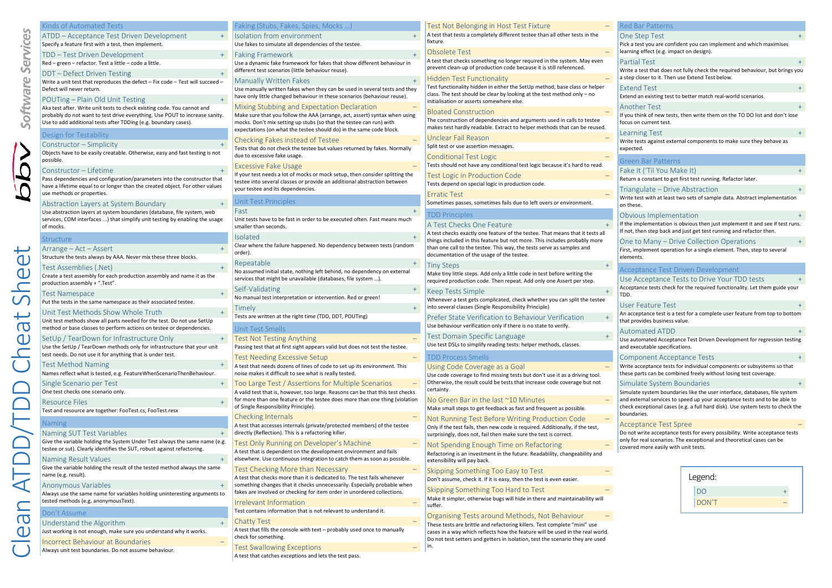| Kinds of Automated Tests                                                                                                                                                               | Faking (Stubs, Fakes, Spies, Mocks )                                                                                                                                                          |
|----------------------------------------------------------------------------------------------------------------------------------------------------------------------------------------|-----------------------------------------------------------------------------------------------------------------------------------------------------------------------------------------------|
| ATDD – Acceptance Test Driven Development<br>$+$                                                                                                                                       | Isolation from environment                                                                                                                                                                    |
| Specify a feature first with a test, then implement.                                                                                                                                   | Use fakes to simulate all dependencies of the testee.                                                                                                                                         |
| TDD — Test Driven Development<br>$+$<br>Red - green - refactor. Test a little - code a little.                                                                                         | <b>Faking Framework</b><br>Use a dynamic fake framework for fakes that show different behaviour in                                                                                            |
| $+$                                                                                                                                                                                    | different test scenarios (little behaviour reuse).                                                                                                                                            |
| DDT – Defect Driven Testing<br>Write a unit test that reproduces the defect - Fix code - Test will succeed -                                                                           | <b>Manually Written Fakes</b>                                                                                                                                                                 |
| Defect will never return.                                                                                                                                                              | Use manually written fakes when they can be used in several tests and they<br>have only little changed behaviour in these scenarios (behaviour reuse).                                        |
| POUTing – Plain Old Unit Testing<br>$+$<br>Aka test after. Write unit tests to check existing code. You cannot and                                                                     | Mixing Stubbing and Expectation Declaration                                                                                                                                                   |
| probably do not want to test drive everything. Use POUT to increase sanity.<br>Use to add additional tests after TDDing (e.g. boundary cases).                                         | Make sure that you follow the AAA (arrange, act, assert) syntax when using<br>mocks. Don't mix setting up stubs (so that the testee can run) with                                             |
| Design for Testability                                                                                                                                                                 | expectations (on what the testee should do) in the same code block.                                                                                                                           |
| Constructor – Simplicity                                                                                                                                                               | Checking Fakes instead of Testee                                                                                                                                                              |
| Objects have to be easily creatable. Otherwise, easy and fast testing is not<br>possible.                                                                                              | Tests that do not check the testee but values returned by fakes. Normally<br>due to excessive fake usage.                                                                                     |
| Constructor – Lifetime<br>$+$                                                                                                                                                          | <b>Excessive Fake Usage</b>                                                                                                                                                                   |
| Pass dependencies and configuration/parameters into the constructor that<br>have a lifetime equal to or longer than the created object. For other values<br>use methods or properties. | If your test needs a lot of mocks or mock setup, then consider splitting the<br>testee into several classes or provide an additional abstraction between<br>your testee and its dependencies. |
| Abstraction Layers at System Boundary<br>$+$                                                                                                                                           | <b>Unit Test Principles</b>                                                                                                                                                                   |
| Use abstraction layers at system boundaries (database, file system, web                                                                                                                | Fast                                                                                                                                                                                          |
| services, COM interfaces ) that simplify unit testing by enabling the usage<br>of mocks.                                                                                               | Unit tests have to be fast in order to be executed often. Fast means much<br>smaller than seconds.                                                                                            |
| Structure                                                                                                                                                                              | <b>Isolated</b>                                                                                                                                                                               |
| $+$<br>Arrange – Act – Assert<br>Structure the tests always by AAA. Never mix these three blocks.                                                                                      | Clear where the failure happened. No dependency between tests (random<br>order).                                                                                                              |
| $+$<br>Test Assemblies (.Net)                                                                                                                                                          | Repeatable                                                                                                                                                                                    |
| Create a test assembly for each production assembly and name it as the<br>production assembly + ".Test".                                                                               | No assumed initial state, nothing left behind, no dependency on external<br>services that might be unavailable (databases, file system ).                                                     |
| <b>Test Namespace</b><br>$+$                                                                                                                                                           | Self-Validating<br>$^{+}$                                                                                                                                                                     |
| Put the tests in the same namespace as their associated testee.                                                                                                                        | No manual test interpretation or intervention. Red or green!                                                                                                                                  |
| Unit Test Methods Show Whole Truth<br>$+$                                                                                                                                              | <b>l</b> imely                                                                                                                                                                                |
| Unit test methods show all parts needed for the test. Do not use SetUp<br>method or base classes to perform actions on testee or dependencies.                                         | Tests are written at the right time (TDD, DDT, POUTing)<br>Unit Test Smells                                                                                                                   |
| $+$<br>SetUp / TearDown for Infrastructure Only                                                                                                                                        | Test Not Testing Anything                                                                                                                                                                     |
| Use the SetUp / TearDown methods only for infrastructure that your unit                                                                                                                | Passing test that at first sight appears valid but does not test the testee.                                                                                                                  |
| test needs. Do not use it for anything that is under test.                                                                                                                             | Test Needing Excessive Setup                                                                                                                                                                  |
| Test Method Naming<br>$+$                                                                                                                                                              | A test that needs dozens of lines of code to set up its environment. This<br>noise makes it difficult to see what is really tested.                                                           |
| Names reflect what is tested, e.g. FeatureWhenScenarioThenBehaviour.<br>$+$                                                                                                            |                                                                                                                                                                                               |
| Single Scenario per Test<br>One test checks one scenario only.                                                                                                                         | Too Large Test / Assertions for Multiple Scenarios<br>A valid test that is, however, too large. Reasons can be that this test checks                                                          |
| Resource Files<br>$+$                                                                                                                                                                  | for more than one feature or the testee does more than one thing (violatior<br>of Single Responsibility Principle).                                                                           |
| Test and resource are together: FooTest.cs, FooTest.resx                                                                                                                               | <b>Checking Internals</b>                                                                                                                                                                     |
| Naming                                                                                                                                                                                 | A test that accesses internals (private/protected members) of the testee                                                                                                                      |
| Naming SUT Test Variables<br>$+$                                                                                                                                                       | directly (Reflection). This is a refactoring killer.                                                                                                                                          |
| Give the variable holding the System Under Test always the same name (e.g.<br>testee or sut). Clearly identifies the SUT, robust against refactoring.                                  | Test Only Running on Developer's Machine                                                                                                                                                      |
| Naming Result Values                                                                                                                                                                   | A test that is dependent on the development environment and fails<br>elsewhere. Use continuous integration to catch them as soon as possible.                                                 |
| Give the variable holding the result of the tested method always the same                                                                                                              | Test Checking More than Necessary                                                                                                                                                             |
| name (e.g. result).                                                                                                                                                                    | A test that checks more than it is dedicated to. The test fails whenever                                                                                                                      |
| $+$<br>Anonymous Variables<br>Always use the same name for variables holding uninteresting arguments to                                                                                | something changes that it checks unnecessarily. Especially probable when<br>fakes are involved or checking for item order in unordered collections.                                           |
| tested methods (e.g. anonymousText).                                                                                                                                                   | Irrelevant Information                                                                                                                                                                        |
| Don't Assume                                                                                                                                                                           | Test contains information that is not relevant to understand it.                                                                                                                              |
| Understand the Algorithm<br>$+$                                                                                                                                                        | <b>Chatty Test</b>                                                                                                                                                                            |
| Just working is not enough, make sure you understand why it works.<br>Incorrect Behaviour at Boundaries<br>$\qquad \qquad -$                                                           | A test that fills the console with text - probably used once to manually<br>check for something.                                                                                              |
| Always unit test boundaries. Do not assume behaviour.                                                                                                                                  | <b>Test Swallowing Exceptions</b>                                                                                                                                                             |
|                                                                                                                                                                                        | A test that catches exceptions and lets the test pass.                                                                                                                                        |

# Use fakes to simulate all dependencies of the testee. Faking Framework + for fakes that show different behaviour in die die die name verschieden test schenken.<br>Geskiedenis is die behaviour reusels Manually Written Fakes + Use manually written fakes when they can be used in several tests and they iour in these scenarios (behaviour reuse). mectation Declaration **AAA (arrange, act, assert) syntax when using** ubs (so that the testee can run) with tee should do) in the same code block. of Testee stee but values returned by fakes. Normally Excessive Fake Usage – ks or mock setup, then consider splitting the brovide an additional abstraction between<br>ties Fast + der to be executed often. Fast means much Isolated + ned. No dependency between tests (random Repeatable + ng left behind, no dependency on external services that might be unavailable (databases, file system …). Self-Validating + or intervention. Red or green Timely + ime (TDD, DDT, POUTing) Test Not Testing Anything – annears valid but does not test the testee. Test Needing Excessive Setup – les of code to set up its environment. This what is really tested. ions for Multiple Scenarios oo large. Reasons can be that this test checks the testee does more than one thing (violation Checking Internals – private/protected members) of the testee ..<br>efactoring killer. Developer's Machine e development environment and fails tegration to catch them as soon as possible. an Necessary tis dedicated to. The test fails whenever cks unnecessarily. Especially probable when for item order in unordered collections. Irrelevant Information – t is not relevant to understand it. Chatty Test – th text – probably used once to manually Test Swallowing Exceptions – and lets the test pass. fixture. Unclear Fail Reason – Split test or use assertion messages. Conditional Test Logic – Erratic Test – TDD Principles Tiny Steps + Keep Tests Simple + TDD Process Smells **certainty** suffer. in.

| Test Not Belonging in Host Test Fixture                                                                                                                                                            |  |
|----------------------------------------------------------------------------------------------------------------------------------------------------------------------------------------------------|--|
| A test that tests a completely different testee than all other tests in the<br>fixture.                                                                                                            |  |
| Obsolete Test                                                                                                                                                                                      |  |
| A test that checks something no longer required in the system. May even<br>prevent clean-up of production code because it is still referenced.                                                     |  |
| <b>Hidden Test Functionality</b>                                                                                                                                                                   |  |
| Test functionality hidden in either the SetUp method, base class or helper<br>class. The test should be clear by looking at the test method only - no<br>initialisation or asserts somewhere else. |  |

## Bloated Construction –

The construction of dependencies and arguments used in calls to testee makes test hardly readable. Extract to helper methods that can be reused.

Tests should not have any conditional test logic because it's hard to read.

Test Logic in Production Code –

Tests depend on special logic in production code.

Sometimes passes, sometimes fails due to left overs or environment.

A Test Checks One Feature

A test checks exactly one feature of the testee. That means that it tests all things included in this feature but not more. This includes probably more than one call to the testee. This way, the tests serve as samples and documentation of the usage of the testee.

Make tiny little steps. Add only a little code in test before writing the required production code. Then repeat. Add only one Assert per step.

Whenever a test gets complicated, check whether you can split the testee into several classes (Single Responsibility Principle)

Prefer State Verification to Behaviour Verification + Use behaviour verification only if there is no state to verify.

Test Domain Specific Language + Use test DSLs to simplify reading tests: helper methods, classes.

Using Code Coverage as a Goal –

Use code coverage to find missing tests but don't use it as a driving tool. Otherwise, the result could be tests that increase code coverage but not

# No Green Bar in the last ~10 Minutes –

Make small steps to get feedback as fast and frequent as possible.

Not Running Test Before Writing Production Code – Only if the test fails, then new code is required. Additionally, if the test, surprisingly, does not, fail then make sure the test is correct.

Not Spending Enough Time on Refactoring – Refactoring is an investment in the future. Readability, changeability and extensibility will pay back.

Skipping Something Too Easy to Test – Don't assume, check it. If it is easy, then the test is even easier.

Skipping Something Too Hard to Test –

Make it simpler, otherwise bugs will hide in there and maintainability will

Organising Tests around Methods, Not Behaviour – These tests are brittle and refactoring killers. Test complete "mini" use cases in a way which reflects how the feature will be used in the real world. Do not test setters and getters in isolation, test the scenario they are used

# ad Bar Datt*e*

# One Step Test

Pick a test you are confident you can implement and which maximises learning effect (e.g. impact on design).

#### Partial Test +

Write a test that does not fully check the required behaviour, but brings you a step closer to it. Then use Extend Test below.

#### Extend Test +

Extend an existing test to better match real-world scenarios. Another Test + If you think of new tests, then write them on the TO DO list and don't lose

focus on current test. **Learning Test** 

Write tests against external components to make sure they behave as expected.

# Green Bar Patterns

Fake It ('Til You Make It) + Return a constant to get first test running. Refactor later.

### Triangulate – Drive Abstraction +

Write test with at least two sets of sample data. Abstract implementation on these.

## Obvious Implementation +

If the implementation is obvious then just implement it and see if test runs. If not, then step back and just get test running and refactor then.

#### One to Many – Drive Collection Operations First, implement operation for a single element. Then, step to several elements.

# Acceptance Test Driven Development

Use Acceptance Tests to Drive Your TDD tests + Acceptance tests check for the required functionality. Let them guide your **TDD** 

# User Feature Test +

An acceptance test is a test for a complete user feature from top to bottom that provides business value.

#### Automated ATDD +

Use automated Acceptance Test Driven Development for regression testing and executable specifications.

#### Component Acceptance Tests +

Write acceptance tests for individual components or subsystems so that these parts can be combined freely without losing test coverage.

### Simulate System Boundaries +

Simulate system boundaries like the user interface, databases, file system and external services to speed up your acceptance tests and to be able to check exceptional cases (e.g. a full hard disk). Use system tests to check the boundaries.

#### Acceptance Test Spree –

Do not write acceptance tests for every possibility. Write acceptance tests only for real scenarios. The exceptional and theoretical cases can be covered more easily with unit tests.

| Legend: |  |
|---------|--|
| DO      |  |
| DON'T   |  |
|         |  |